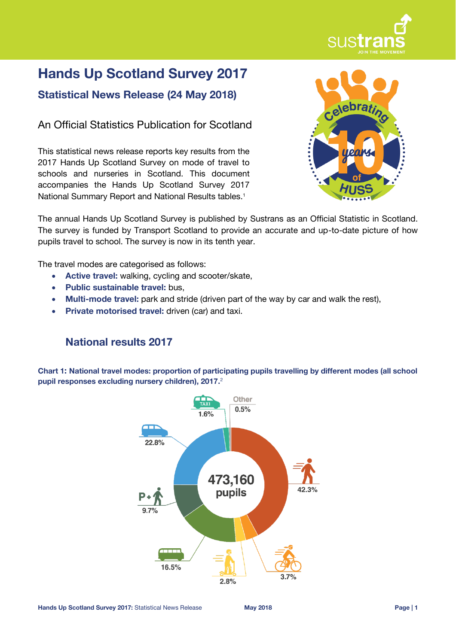

# **Hands Up Scotland Survey 2017**

**Statistical News Release (24 May 2018)**

An Official Statistics Publication for Scotland

This statistical news release reports key results from the 2017 Hands Up Scotland Survey on mode of travel to schools and nurseries in Scotland. This document accompanies the Hands Up Scotland Survey 2017 National Summary Report and National Results tables.<sup>1</sup>



The annual Hands Up Scotland Survey is published by Sustrans as an Official Statistic in Scotland. The survey is funded by Transport Scotland to provide an accurate and up-to-date picture of how pupils travel to school. The survey is now in its tenth year.

The travel modes are categorised as follows:

- **Active travel:** walking, cycling and scooter/skate,
- **Public sustainable travel:** bus,
- **Multi-mode travel:** park and stride (driven part of the way by car and walk the rest),
- **Private motorised travel:** driven (car) and taxi.

# **National results 2017**

**Chart 1: National travel modes: proportion of participating pupils travelling by different modes (all school pupil responses excluding nursery children), 2017.** 2

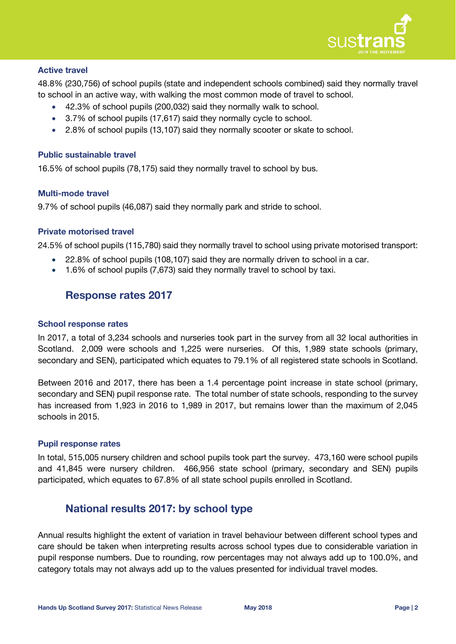

#### **Active travel**

48.8% (230,756) of school pupils (state and independent schools combined) said they normally travel to school in an active way, with walking the most common mode of travel to school.

- 42.3% of school pupils (200,032) said they normally walk to school.
- 3.7% of school pupils (17,617) said they normally cycle to school.
- 2.8% of school pupils (13,107) said they normally scooter or skate to school.

#### **Public sustainable travel**

16.5% of school pupils (78,175) said they normally travel to school by bus.

#### **Multi-mode travel**

9.7% of school pupils (46,087) said they normally park and stride to school.

#### **Private motorised travel**

24.5% of school pupils (115,780) said they normally travel to school using private motorised transport:

- 22.8% of school pupils (108,107) said they are normally driven to school in a car.
- 1.6% of school pupils (7,673) said they normally travel to school by taxi.

## **Response rates 2017**

#### **School response rates**

In 2017, a total of 3,234 schools and nurseries took part in the survey from all 32 local authorities in Scotland. 2,009 were schools and 1,225 were nurseries. Of this, 1,989 state schools (primary, secondary and SEN), participated which equates to 79.1% of all registered state schools in Scotland.

Between 2016 and 2017, there has been a 1.4 percentage point increase in state school (primary, secondary and SEN) pupil response rate. The total number of state schools, responding to the survey has increased from 1,923 in 2016 to 1,989 in 2017, but remains lower than the maximum of 2,045 schools in 2015.

#### **Pupil response rates**

In total, 515,005 nursery children and school pupils took part the survey. 473,160 were school pupils and 41,845 were nursery children. 466,956 state school (primary, secondary and SEN) pupils participated, which equates to 67.8% of all state school pupils enrolled in Scotland.

## **National results 2017: by school type**

Annual results highlight the extent of variation in travel behaviour between different school types and care should be taken when interpreting results across school types due to considerable variation in pupil response numbers. Due to rounding, row percentages may not always add up to 100.0%, and category totals may not always add up to the values presented for individual travel modes.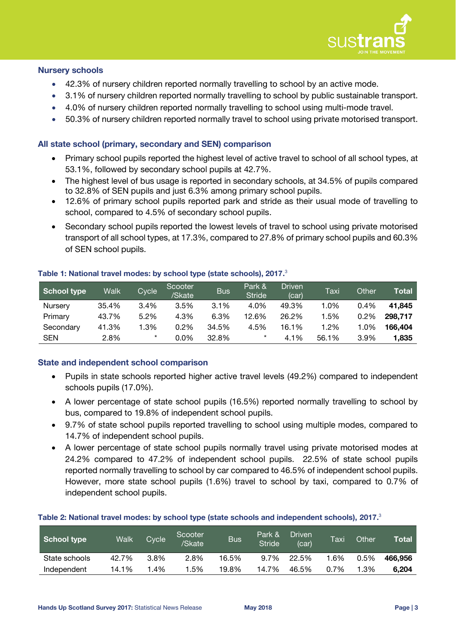

#### **Nursery schools**

- 42.3% of nursery children reported normally travelling to school by an active mode.
- 3.1% of nursery children reported normally travelling to school by public sustainable transport.
- 4.0% of nursery children reported normally travelling to school using multi-mode travel.
- 50.3% of nursery children reported normally travel to school using private motorised transport.

## **All state school (primary, secondary and SEN) comparison**

- Primary school pupils reported the highest level of active travel to school of all school types, at 53.1%, followed by secondary school pupils at 42.7%.
- The highest level of bus usage is reported in secondary schools, at 34.5% of pupils compared to 32.8% of SEN pupils and just 6.3% among primary school pupils.
- 12.6% of primary school pupils reported park and stride as their usual mode of travelling to school, compared to 4.5% of secondary school pupils.
- <span id="page-2-0"></span> Secondary school pupils reported the lowest levels of travel to school using private motorised transport of all school types, at 17.3%, compared to 27.8% of primary school pupils and 60.3% of SEN school pupils.

| School type | Walk  | Cycle   | Scooter<br>/Skate | <b>Bus</b> | Park &<br><b>Stride</b> | <b>Driven</b><br>(car) | Taxi  | Other | Total   |
|-------------|-------|---------|-------------------|------------|-------------------------|------------------------|-------|-------|---------|
| Nursery     | 35.4% | 3.4%    | 3.5%              | 3.1%       | 4.0%                    | 49.3%                  | 1.0%  | 0.4%  | 41.845  |
| Primary     | 43.7% | 5.2%    | 4.3%              | 6.3%       | 12.6%                   | 26.2%                  | .5%   | 0.2%  | 298.717 |
| Secondary   | 41.3% | $1.3\%$ | $0.2\%$           | 34.5%      | 4.5%                    | 16.1%                  | 1.2%  | 1.0%  | 166.404 |
| <b>SEN</b>  | 2.8%  | $\star$ | 0.0%              | 32.8%      | $\star$                 | 4.1%                   | 56.1% | 3.9%  | 1.835   |

#### **Table 1: National travel modes: by school type (state schools), 2017.** 3

## **State and independent school comparison**

- Pupils in state schools reported higher active travel levels (49.2%) compared to independent schools pupils (17.0%).
- A lower percentage of state school pupils (16.5%) reported normally travelling to school by bus, compared to 19.8% of independent school pupils.
- 9.7% of state school pupils reported travelling to school using multiple modes, compared to 14.7% of independent school pupils.
- A lower percentage of state school pupils normally travel using private motorised modes at 24.2% compared to 47.2% of independent school pupils. 22.5% of state school pupils reported normally travelling to school by car compared to 46.5% of independent school pupils. However, more state school pupils (1.6%) travel to school by taxi, compared to 0.7% of independent school pupils.

#### **Table 2: National travel modes: by school type (state schools and independent schools), 2017[.](#page-2-0)** 3

| School type   | Walk  | Cycle | Scooter<br>/Skate | <b>Bus</b> | Park &<br><b>Stride</b> | Driven<br>(car) | Taxi | Other | Total   |
|---------------|-------|-------|-------------------|------------|-------------------------|-----------------|------|-------|---------|
| State schools | 42.7% | 3.8%  | 2.8%              | 16.5%      | 9.7%                    | 22.5%           | 1.6% | 0.5%  | 466.956 |
| Independent   | 14.1% | l.4%  | 1.5%              | 19.8%      | 14.7%                   | 46.5%           | 0.7% | 1.3%  | 6.204   |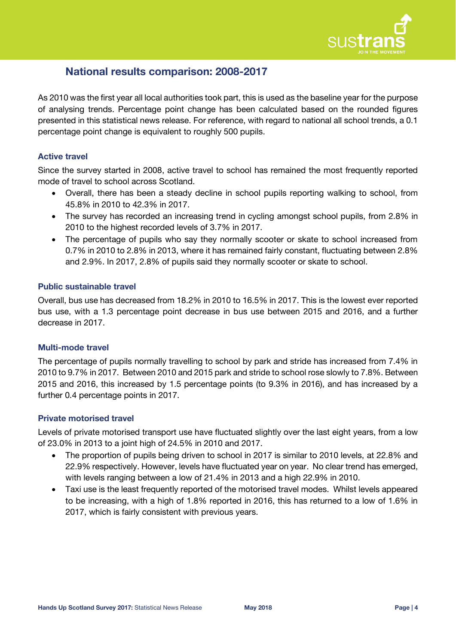

# **National results comparison: 2008-2017**

As 2010 was the first year all local authorities took part, this is used as the baseline year for the purpose of analysing trends. Percentage point change has been calculated based on the rounded figures presented in this statistical news release. For reference, with regard to national all school trends, a 0.1 percentage point change is equivalent to roughly 500 pupils.

## **Active travel**

Since the survey started in 2008, active travel to school has remained the most frequently reported mode of travel to school across Scotland.

- Overall, there has been a steady decline in school pupils reporting walking to school, from 45.8% in 2010 to 42.3% in 2017.
- The survey has recorded an increasing trend in cycling amongst school pupils, from 2.8% in 2010 to the highest recorded levels of 3.7% in 2017.
- The percentage of pupils who say they normally scooter or skate to school increased from 0.7% in 2010 to 2.8% in 2013, where it has remained fairly constant, fluctuating between 2.8% and 2.9%. In 2017, 2.8% of pupils said they normally scooter or skate to school.

#### **Public sustainable travel**

Overall, bus use has decreased from 18.2% in 2010 to 16.5% in 2017. This is the lowest ever reported bus use, with a 1.3 percentage point decrease in bus use between 2015 and 2016, and a further decrease in 2017.

## **Multi-mode travel**

The percentage of pupils normally travelling to school by park and stride has increased from 7.4% in 2010 to 9.7% in 2017. Between 2010 and 2015 park and stride to school rose slowly to 7.8%. Between 2015 and 2016, this increased by 1.5 percentage points (to 9.3% in 2016), and has increased by a further 0.4 percentage points in 2017.

## **Private motorised travel**

Levels of private motorised transport use have fluctuated slightly over the last eight years, from a low of 23.0% in 2013 to a joint high of 24.5% in 2010 and 2017.

- The proportion of pupils being driven to school in 2017 is similar to 2010 levels, at 22.8% and 22.9% respectively. However, levels have fluctuated year on year. No clear trend has emerged, with levels ranging between a low of 21.4% in 2013 and a high 22.9% in 2010.
- Taxi use is the least frequently reported of the motorised travel modes. Whilst levels appeared to be increasing, with a high of 1.8% reported in 2016, this has returned to a low of 1.6% in 2017, which is fairly consistent with previous years.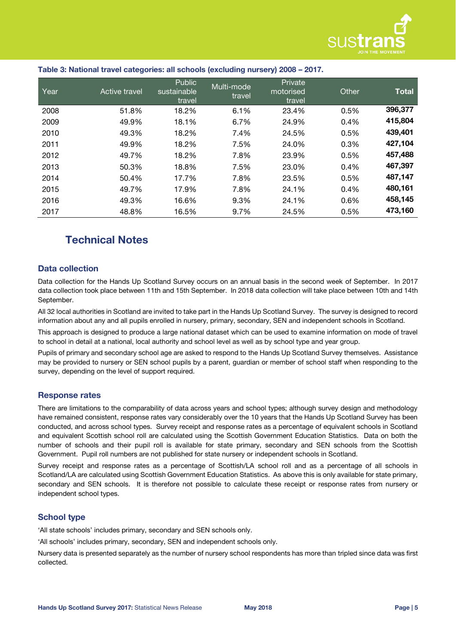

| Year | Active travel | Public<br>sustainable<br>travel | Multi-mode<br>travel | Private<br>motorised<br>travel | Other | <b>Total</b> |
|------|---------------|---------------------------------|----------------------|--------------------------------|-------|--------------|
| 2008 | 51.8%         | 18.2%                           | 6.1%                 | 23.4%                          | 0.5%  | 396,377      |
| 2009 | 49.9%         | 18.1%                           | 6.7%                 | 24.9%                          | 0.4%  | 415,804      |
| 2010 | 49.3%         | 18.2%                           | 7.4%                 | 24.5%                          | 0.5%  | 439,401      |
| 2011 | 49.9%         | 18.2%                           | 7.5%                 | 24.0%                          | 0.3%  | 427,104      |
| 2012 | 49.7%         | 18.2%                           | 7.8%                 | 23.9%                          | 0.5%  | 457,488      |
| 2013 | 50.3%         | 18.8%                           | 7.5%                 | 23.0%                          | 0.4%  | 467,397      |
| 2014 | 50.4%         | 17.7%                           | 7.8%                 | 23.5%                          | 0.5%  | 487,147      |
| 2015 | 49.7%         | 17.9%                           | 7.8%                 | 24.1%                          | 0.4%  | 480,161      |
| 2016 | 49.3%         | 16.6%                           | 9.3%                 | 24.1%                          | 0.6%  | 458,145      |
| 2017 | 48.8%         | 16.5%                           | 9.7%                 | 24.5%                          | 0.5%  | 473,160      |

#### **Table 3: National travel categories: all schools (excluding nursery) 2008 – 2017.**

# **Technical Notes**

#### **Data collection**

Data collection for the Hands Up Scotland Survey occurs on an annual basis in the second week of September. In 2017 data collection took place between 11th and 15th September. In 2018 data collection will take place between 10th and 14th September.

All 32 local authorities in Scotland are invited to take part in the Hands Up Scotland Survey. The survey is designed to record information about any and all pupils enrolled in nursery, primary, secondary, SEN and independent schools in Scotland.

This approach is designed to produce a large national dataset which can be used to examine information on mode of travel to school in detail at a national, local authority and school level as well as by school type and year group.

Pupils of primary and secondary school age are asked to respond to the Hands Up Scotland Survey themselves. Assistance may be provided to nursery or SEN school pupils by a parent, guardian or member of school staff when responding to the survey, depending on the level of support required.

#### **Response rates**

There are limitations to the comparability of data across years and school types; although survey design and methodology have remained consistent, response rates vary considerably over the 10 years that the Hands Up Scotland Survey has been conducted, and across school types. Survey receipt and response rates as a percentage of equivalent schools in Scotland and equivalent Scottish school roll are calculated using the Scottish Government Education Statistics. Data on both the number of schools and their pupil roll is available for state primary, secondary and SEN schools from the Scottish Government. Pupil roll numbers are not published for state nursery or independent schools in Scotland.

Survey receipt and response rates as a percentage of Scottish/LA school roll and as a percentage of all schools in Scotland/LA are calculated using Scottish Government Education Statistics. As above this is only available for state primary, secondary and SEN schools. It is therefore not possible to calculate these receipt or response rates from nursery or independent school types.

#### **School type**

'All state schools' includes primary, secondary and SEN schools only.

'All schools' includes primary, secondary, SEN and independent schools only.

Nursery data is presented separately as the number of nursery school respondents has more than tripled since data was first collected.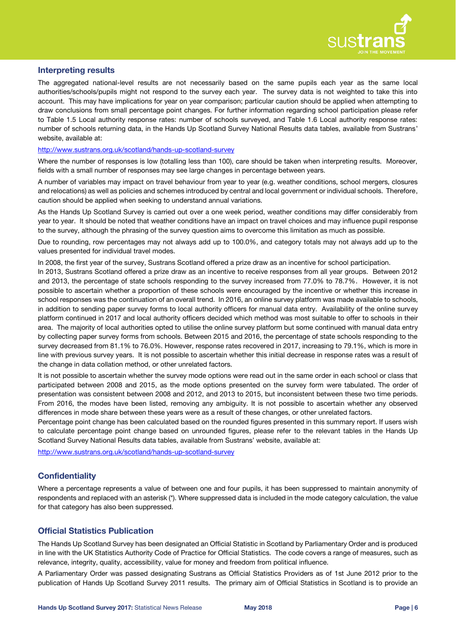

#### **Interpreting results**

The aggregated national-level results are not necessarily based on the same pupils each year as the same local authorities/schools/pupils might not respond to the survey each year. The survey data is not weighted to take this into account. This may have implications for year on year comparison; particular caution should be applied when attempting to draw conclusions from small percentage point changes. For further information regarding school participation please refer to Table 1.5 Local authority response rates: number of schools surveyed, and Table 1.6 Local authority response rates: number of schools returning data, in the Hands Up Scotland Survey National Results data tables, available from Sustrans' website, available at:

#### <http://www.sustrans.org.uk/scotland/hands-up-scotland-survey>

Where the number of responses is low (totalling less than 100), care should be taken when interpreting results. Moreover, fields with a small number of responses may see large changes in percentage between years.

A number of variables may impact on travel behaviour from year to year (e.g. weather conditions, school mergers, closures and relocations) as well as policies and schemes introduced by central and local government or individual schools. Therefore, caution should be applied when seeking to understand annual variations.

As the Hands Up Scotland Survey is carried out over a one week period, weather conditions may differ considerably from year to year. It should be noted that weather conditions have an impact on travel choices and may influence pupil response to the survey, although the phrasing of the survey question aims to overcome this limitation as much as possible.

Due to rounding, row percentages may not always add up to 100.0%, and category totals may not always add up to the values presented for individual travel modes.

In 2008, the first year of the survey, Sustrans Scotland offered a prize draw as an incentive for school participation.

In 2013, Sustrans Scotland offered a prize draw as an incentive to receive responses from all year groups. Between 2012 and 2013, the percentage of state schools responding to the survey increased from 77.0% to 78.7%. However, it is not possible to ascertain whether a proportion of these schools were encouraged by the incentive or whether this increase in school responses was the continuation of an overall trend. In 2016, an online survey platform was made available to schools, in addition to sending paper survey forms to local authority officers for manual data entry. Availability of the online survey platform continued in 2017 and local authority officers decided which method was most suitable to offer to schools in their area. The majority of local authorities opted to utilise the online survey platform but some continued with manual data entry by collecting paper survey forms from schools. Between 2015 and 2016, the percentage of state schools responding to the survey decreased from 81.1% to 76.0%. However, response rates recovered in 2017, increasing to 79.1%, which is more in line with previous survey years. It is not possible to ascertain whether this initial decrease in response rates was a result of the change in data collation method, or other unrelated factors.

It is not possible to ascertain whether the survey mode options were read out in the same order in each school or class that participated between 2008 and 2015, as the mode options presented on the survey form were tabulated. The order of presentation was consistent between 2008 and 2012, and 2013 to 2015, but inconsistent between these two time periods. From 2016, the modes have been listed, removing any ambiguity. It is not possible to ascertain whether any observed differences in mode share between these years were as a result of these changes, or other unrelated factors.

Percentage point change has been calculated based on the rounded figures presented in this summary report. If users wish to calculate percentage point change based on unrounded figures, please refer to the relevant tables in the Hands Up Scotland Survey National Results data tables, available from Sustrans' website, available at:

<http://www.sustrans.org.uk/scotland/hands-up-scotland-survey>

#### **Confidentiality**

Where a percentage represents a value of between one and four pupils, it has been suppressed to maintain anonymity of respondents and replaced with an asterisk (\*). Where suppressed data is included in the mode category calculation, the value for that category has also been suppressed.

#### **Official Statistics Publication**

The Hands Up Scotland Survey has been designated an Official Statistic in Scotland by Parliamentary Order and is produced in line with the UK Statistics Authority Code of Practice for Official Statistics. The code covers a range of measures, such as relevance, integrity, quality, accessibility, value for money and freedom from political influence.

A Parliamentary Order was passed designating Sustrans as Official Statistics Providers as of 1st June 2012 prior to the publication of Hands Up Scotland Survey 2011 results. The primary aim of Official Statistics in Scotland is to provide an